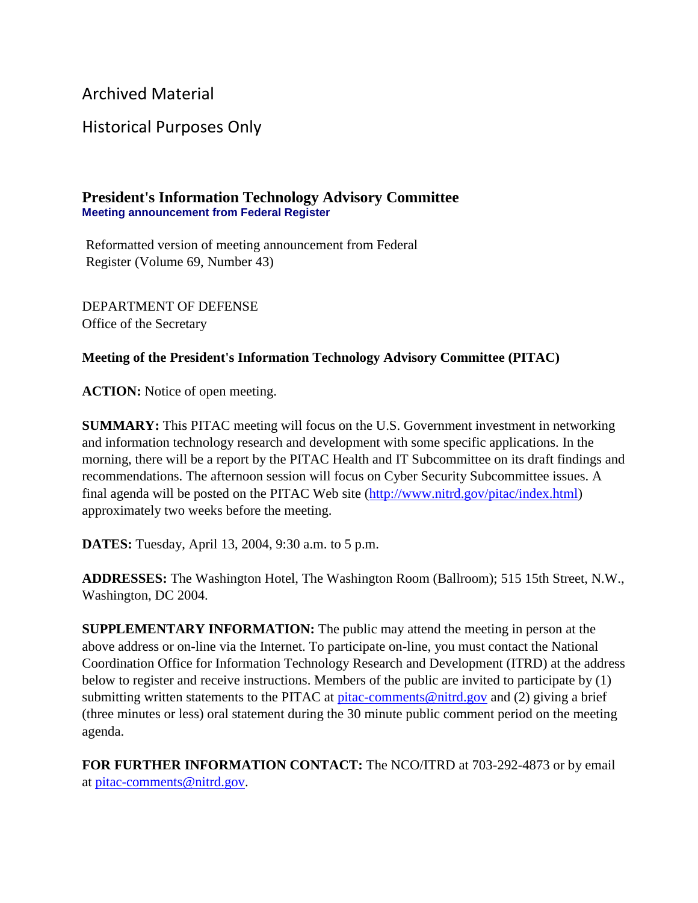Archived Material

Historical Purposes Only

## **President's Information Technology Advisory Committee Meeting announcement from Federal Register**

Reformatted version of meeting announcement from Federal Register (Volume 69, Number 43)

DEPARTMENT OF DEFENSE Office of the Secretary

## **Meeting of the President's Information Technology Advisory Committee (PITAC)**

**ACTION:** Notice of open meeting.

**SUMMARY:** This PITAC meeting will focus on the U.S. Government investment in networking and information technology research and development with some specific applications. In the morning, there will be a report by the PITAC Health and IT Subcommittee on its draft findings and recommendations. The afternoon session will focus on Cyber Security Subcommittee issues. A final agenda will be posted on the PITAC Web site [\(http://www.nitrd.gov/pitac/index.html\)](https://www.nitrd.gov/pitac/index.html) approximately two weeks before the meeting.

**DATES:** Tuesday, April 13, 2004, 9:30 a.m. to 5 p.m.

**ADDRESSES:** The Washington Hotel, The Washington Room (Ballroom); 515 15th Street, N.W., Washington, DC 2004.

**SUPPLEMENTARY INFORMATION:** The public may attend the meeting in person at the above address or on-line via the Internet. To participate on-line, you must contact the National Coordination Office for Information Technology Research and Development (ITRD) at the address below to register and receive instructions. Members of the public are invited to participate by (1) submitting written statements to the PITAC at [pitac-comments@nitrd.gov](mailto:pitac-comments@nitrd.gov) and (2) giving a brief (three minutes or less) oral statement during the 30 minute public comment period on the meeting agenda.

**FOR FURTHER INFORMATION CONTACT:** The NCO/ITRD at 703-292-4873 or by email at [pitac-comments@nitrd.gov.](mailto:pitac-comments@nitrd.gov)